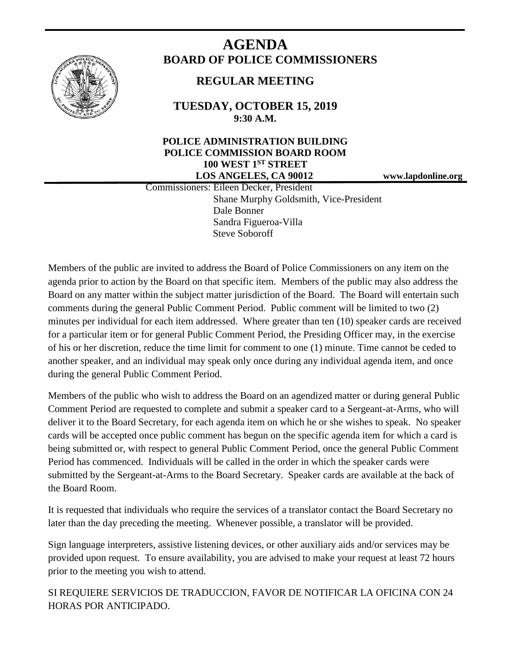

# **AGENDA BOARD OF POLICE COMMISSIONERS**

## **REGULAR MEETING**

**TUESDAY, OCTOBER 15, 2019 9:30 A.M.**

### **POLICE ADMINISTRATION BUILDING POLICE COMMISSION BOARD ROOM 100 WEST 1ST STREET LOS ANGELES, CA 90012 www.lapdonline.org**

 Commissioners: Eileen Decker, President Shane Murphy Goldsmith, Vice-President Dale Bonner Sandra Figueroa-Villa Steve Soboroff

Members of the public are invited to address the Board of Police Commissioners on any item on the agenda prior to action by the Board on that specific item. Members of the public may also address the Board on any matter within the subject matter jurisdiction of the Board. The Board will entertain such comments during the general Public Comment Period. Public comment will be limited to two (2) minutes per individual for each item addressed. Where greater than ten (10) speaker cards are received for a particular item or for general Public Comment Period, the Presiding Officer may, in the exercise of his or her discretion, reduce the time limit for comment to one (1) minute. Time cannot be ceded to another speaker, and an individual may speak only once during any individual agenda item, and once during the general Public Comment Period.

Members of the public who wish to address the Board on an agendized matter or during general Public Comment Period are requested to complete and submit a speaker card to a Sergeant-at-Arms, who will deliver it to the Board Secretary, for each agenda item on which he or she wishes to speak. No speaker cards will be accepted once public comment has begun on the specific agenda item for which a card is being submitted or, with respect to general Public Comment Period, once the general Public Comment Period has commenced. Individuals will be called in the order in which the speaker cards were submitted by the Sergeant-at-Arms to the Board Secretary. Speaker cards are available at the back of the Board Room.

It is requested that individuals who require the services of a translator contact the Board Secretary no later than the day preceding the meeting. Whenever possible, a translator will be provided.

Sign language interpreters, assistive listening devices, or other auxiliary aids and/or services may be provided upon request. To ensure availability, you are advised to make your request at least 72 hours prior to the meeting you wish to attend.

SI REQUIERE SERVICIOS DE TRADUCCION, FAVOR DE NOTIFICAR LA OFICINA CON 24 HORAS POR ANTICIPADO.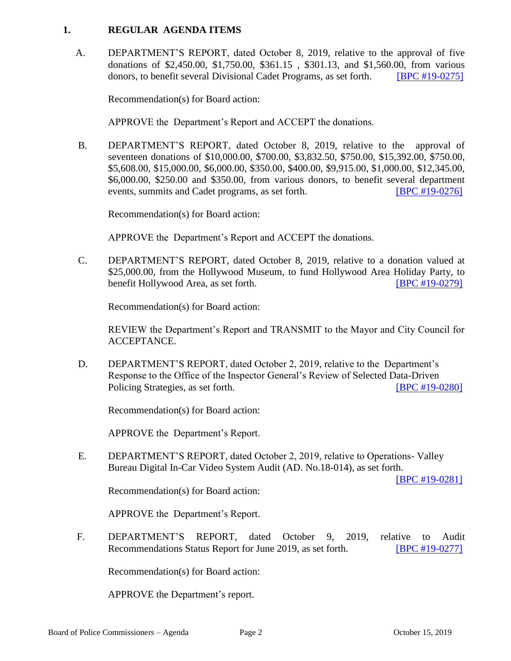#### **1. REGULAR AGENDA ITEMS**

 A. DEPARTMENT'S REPORT, dated October 8, 2019, relative to the approval of five donations of \$2,450.00, \$1,750.00, \$361.15 , \$301.13, and \$1,560.00, from various donors, to benefit several Divisional Cadet Programs, as set forth. [\[BPC #19-0275\]](http://www.lapdpolicecom.lacity.org/101519/BPC_19-0275.pdf)

Recommendation(s) for Board action:

APPROVE the Department's Report and ACCEPT the donations.

B. DEPARTMENT'S REPORT, dated October 8, 2019, relative to the approval of seventeen donations of \$10,000.00, \$700.00, \$3,832.50, \$750.00, \$15,392.00, \$750.00, \$5,608.00, \$15,000.00, \$6,000.00, \$350.00, \$400.00, \$9,915.00, \$1,000.00, \$12,345.00, \$6,000.00, \$250.00 and \$350.00, from various donors, to benefit several department events, summits and Cadet programs, as set forth. [\[BPC #19-0276\]](http://www.lapdpolicecom.lacity.org/101519/BPC_19-0276.pdf) 

Recommendation(s) for Board action:

APPROVE the Department's Report and ACCEPT the donations.

C. DEPARTMENT'S REPORT, dated October 8, 2019, relative to a donation valued at \$25,000.00, from the Hollywood Museum, to fund Hollywood Area Holiday Party, to benefit Hollywood Area, as set forth. **IBPC #19-0279** 

Recommendation(s) for Board action:

REVIEW the Department's Report and TRANSMIT to the Mayor and City Council for ACCEPTANCE.

D. DEPARTMENT'S REPORT, dated October 2, 2019, relative to the Department's Response to the Office of the Inspector General's Review of Selected Data-Driven Policing Strategies, as set forth. **IBPC #19-0280** 

Recommendation(s) for Board action:

APPROVE the Department's Report.

E. DEPARTMENT'S REPORT, dated October 2, 2019, relative to Operations- Valley Bureau Digital In-Car Video System Audit (AD. No.18-014), as set forth.

[\[BPC #19-0281\]](http://www.lapdpolicecom.lacity.org/101519/BPC_19-0281.pdf)

Recommendation(s) for Board action:

APPROVE the Department's Report.

F. DEPARTMENT'S REPORT, dated October 9, 2019, relative to Audit Recommendations Status Report for June 2019, as set forth. [\[BPC #19-0277\]](http://www.lapdpolicecom.lacity.org/101519/BPC_19-0277.pdf)

Recommendation(s) for Board action:

APPROVE the Department's report.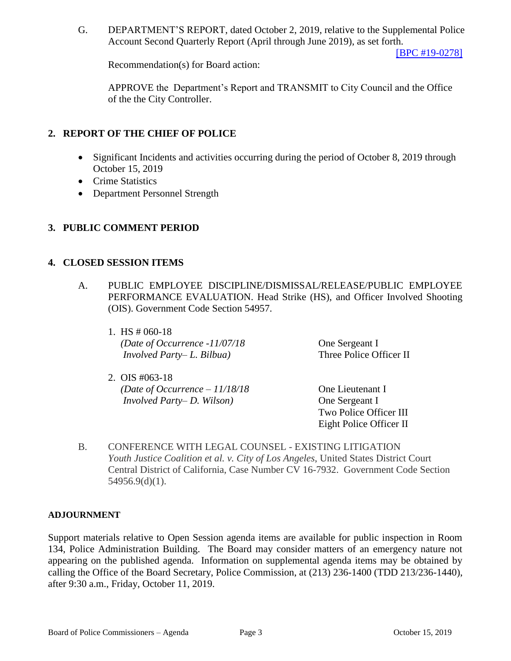G. DEPARTMENT'S REPORT, dated October 2, 2019, relative to the Supplemental Police Account Second Quarterly Report (April through June 2019), as set forth.

[\[BPC #19-0278\]](http://www.lapdpolicecom.lacity.org/101519/BPC_19-0278.pdf)

Recommendation(s) for Board action:

APPROVE the Department's Report and TRANSMIT to City Council and the Office of the the City Controller.

#### **2. REPORT OF THE CHIEF OF POLICE**

- Significant Incidents and activities occurring during the period of October 8, 2019 through October 15, 2019
- Crime Statistics
- Department Personnel Strength

#### **3. PUBLIC COMMENT PERIOD**

#### **4. CLOSED SESSION ITEMS**

- A. PUBLIC EMPLOYEE DISCIPLINE/DISMISSAL/RELEASE/PUBLIC EMPLOYEE PERFORMANCE EVALUATION. Head Strike (HS), and Officer Involved Shooting (OIS). Government Code Section 54957.
	- 1. HS # 060-18 *(Date of Occurrence -11/07/18* One Sergeant I *Involved Party– L. Bilbua)* Three Police Officer II
	- 2. OIS #063-18 *(Date of Occurrence – 11/18/18* One Lieutenant I *Involved Party– D. Wilson)* One Sergeant I
- 

Two Police Officer III Eight Police Officer II

B. CONFERENCE WITH LEGAL COUNSEL - EXISTING LITIGATION *Youth Justice Coalition et al. v. City of Los Angeles*, United States District Court Central District of California, Case Number CV 16-7932. Government Code Section 54956.9(d)(1).

#### **ADJOURNMENT**

Support materials relative to Open Session agenda items are available for public inspection in Room 134, Police Administration Building. The Board may consider matters of an emergency nature not appearing on the published agenda. Information on supplemental agenda items may be obtained by calling the Office of the Board Secretary, Police Commission, at (213) 236-1400 (TDD 213/236-1440), after 9:30 a.m., Friday, October 11, 2019.